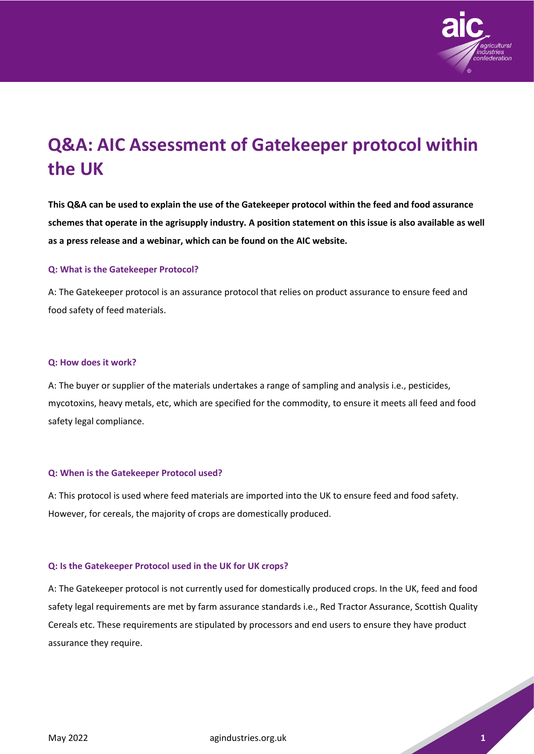

# **Q&A: AIC Assessment of Gatekeeper protocol within the UK**

**This Q&A can be used to explain the use of the Gatekeeper protocol within the feed and food assurance schemes that operate in the agrisupply industry. A position statement on this issue is also available as well as a press release and a webinar, which can be found on the AIC website.**

## **Q: What is the Gatekeeper Protocol?**

A: The Gatekeeper protocol is an assurance protocol that relies on product assurance to ensure feed and food safety of feed materials.

## **Q: How does it work?**

A: The buyer or supplier of the materials undertakes a range of sampling and analysis i.e., pesticides, mycotoxins, heavy metals, etc, which are specified for the commodity, to ensure it meets all feed and food safety legal compliance.

## **Q: When is the Gatekeeper Protocol used?**

A: This protocol is used where feed materials are imported into the UK to ensure feed and food safety. However, for cereals, the majority of crops are domestically produced.

## **Q: Is the Gatekeeper Protocol used in the UK for UK crops?**

A: The Gatekeeper protocol is not currently used for domestically produced crops. In the UK, feed and food safety legal requirements are met by farm assurance standards i.e., Red Tractor Assurance, Scottish Quality Cereals etc. These requirements are stipulated by processors and end users to ensure they have product assurance they require.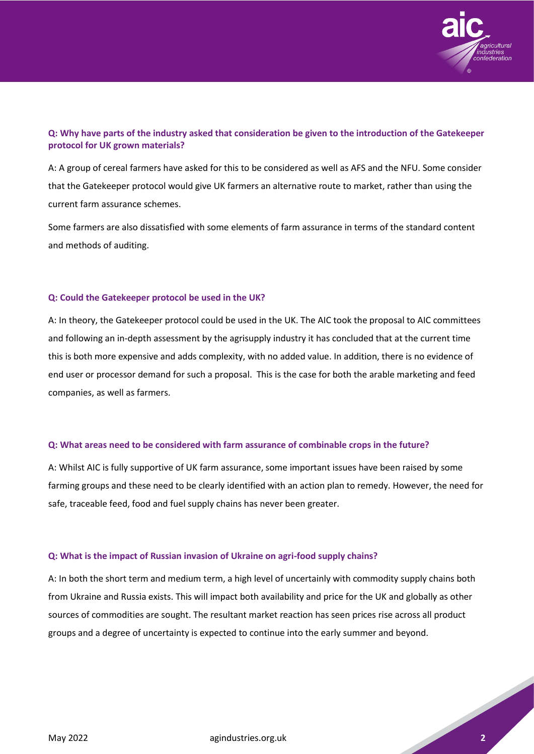

## **Q: Why have parts of the industry asked that consideration be given to the introduction of the Gatekeeper protocol for UK grown materials?**

A: A group of cereal farmers have asked for this to be considered as well as AFS and the NFU. Some consider that the Gatekeeper protocol would give UK farmers an alternative route to market, rather than using the current farm assurance schemes.

Some farmers are also dissatisfied with some elements of farm assurance in terms of the standard content and methods of auditing.

## **Q: Could the Gatekeeper protocol be used in the UK?**

A: In theory, the Gatekeeper protocol could be used in the UK. The AIC took the proposal to AIC committees and following an in-depth assessment by the agrisupply industry it has concluded that at the current time this is both more expensive and adds complexity, with no added value. In addition, there is no evidence of end user or processor demand for such a proposal. This is the case for both the arable marketing and feed companies, as well as farmers.

#### **Q: What areas need to be considered with farm assurance of combinable crops in the future?**

A: Whilst AIC is fully supportive of UK farm assurance, some important issues have been raised by some farming groups and these need to be clearly identified with an action plan to remedy. However, the need for safe, traceable feed, food and fuel supply chains has never been greater.

#### **Q: What is the impact of Russian invasion of Ukraine on agri-food supply chains?**

A: In both the short term and medium term, a high level of uncertainly with commodity supply chains both from Ukraine and Russia exists. This will impact both availability and price for the UK and globally as other sources of commodities are sought. The resultant market reaction has seen prices rise across all product groups and a degree of uncertainty is expected to continue into the early summer and beyond.